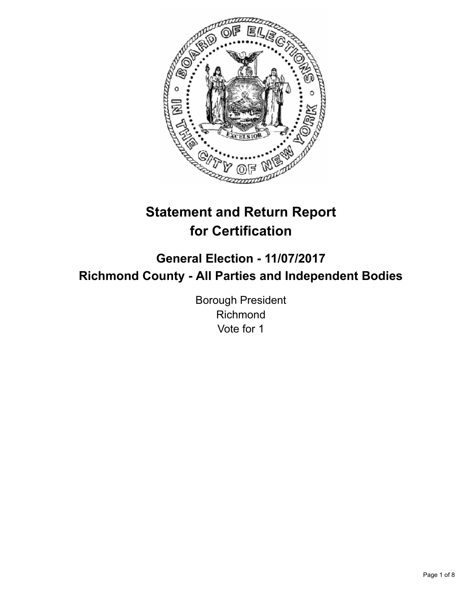

# **Statement and Return Report for Certification**

# **General Election - 11/07/2017 Richmond County - All Parties and Independent Bodies**

Borough President Richmond Vote for 1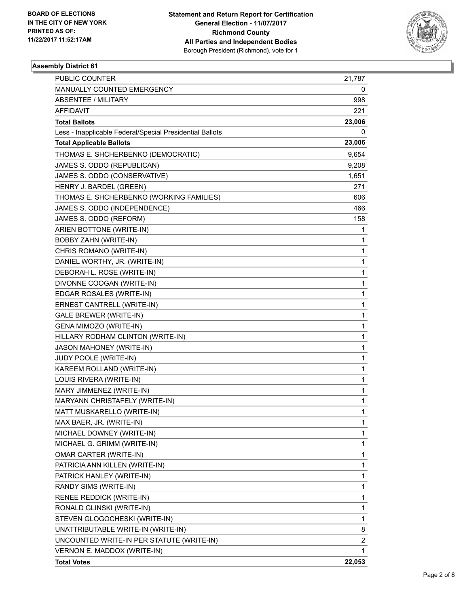

# **Assembly District 61**

| <b>PUBLIC COUNTER</b>                                    | 21,787 |
|----------------------------------------------------------|--------|
| MANUALLY COUNTED EMERGENCY                               | 0      |
| ABSENTEE / MILITARY                                      | 998    |
| AFFIDAVIT                                                | 221    |
| <b>Total Ballots</b>                                     | 23,006 |
| Less - Inapplicable Federal/Special Presidential Ballots | 0      |
| <b>Total Applicable Ballots</b>                          | 23,006 |
| THOMAS E. SHCHERBENKO (DEMOCRATIC)                       | 9,654  |
| JAMES S. ODDO (REPUBLICAN)                               | 9,208  |
| JAMES S. ODDO (CONSERVATIVE)                             | 1,651  |
| HENRY J. BARDEL (GREEN)                                  | 271    |
| THOMAS E. SHCHERBENKO (WORKING FAMILIES)                 | 606    |
| JAMES S. ODDO (INDEPENDENCE)                             | 466    |
| JAMES S. ODDO (REFORM)                                   | 158    |
| ARIEN BOTTONE (WRITE-IN)                                 | 1      |
| <b>BOBBY ZAHN (WRITE-IN)</b>                             | 1      |
| CHRIS ROMANO (WRITE-IN)                                  | 1      |
| DANIEL WORTHY, JR. (WRITE-IN)                            | 1      |
| DEBORAH L. ROSE (WRITE-IN)                               | 1      |
| DIVONNE COOGAN (WRITE-IN)                                | 1      |
| EDGAR ROSALES (WRITE-IN)                                 | 1      |
| ERNEST CANTRELL (WRITE-IN)                               | 1      |
| <b>GALE BREWER (WRITE-IN)</b>                            | 1      |
| GENA MIMOZO (WRITE-IN)                                   | 1      |
| HILLARY RODHAM CLINTON (WRITE-IN)                        | 1      |
| <b>JASON MAHONEY (WRITE-IN)</b>                          | 1      |
| JUDY POOLE (WRITE-IN)                                    | 1      |
| KAREEM ROLLAND (WRITE-IN)                                | 1      |
| LOUIS RIVERA (WRITE-IN)                                  | 1      |
| MARY JIMMENEZ (WRITE-IN)                                 | 1      |
| MARYANN CHRISTAFELY (WRITE-IN)                           | 1      |
| MATT MUSKARELLO (WRITE-IN)                               | 1      |
| MAX BAER, JR. (WRITE-IN)                                 | 1      |
| MICHAEL DOWNEY (WRITE-IN)                                | 1      |
| MICHAEL G. GRIMM (WRITE-IN)                              | 1      |
| OMAR CARTER (WRITE-IN)                                   | 1      |
| PATRICIA ANN KILLEN (WRITE-IN)                           | 1      |
| PATRICK HANLEY (WRITE-IN)                                | 1      |
| RANDY SIMS (WRITE-IN)                                    | 1      |
| RENEE REDDICK (WRITE-IN)                                 | 1      |
| RONALD GLINSKI (WRITE-IN)                                | 1      |
| STEVEN GLOGOCHESKI (WRITE-IN)                            | 1      |
| UNATTRIBUTABLE WRITE-IN (WRITE-IN)                       | 8      |
| UNCOUNTED WRITE-IN PER STATUTE (WRITE-IN)                | 2      |
| VERNON E. MADDOX (WRITE-IN)                              | 1      |
| <b>Total Votes</b>                                       | 22,053 |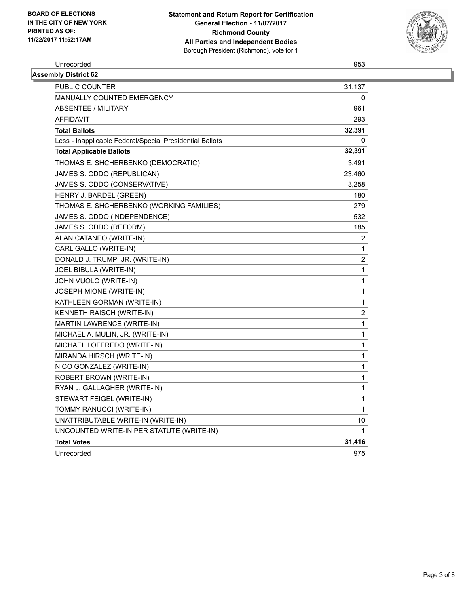

Unrecorded 953

| <b>Assembly District 62</b>                              |                |
|----------------------------------------------------------|----------------|
| PUBLIC COUNTER                                           | 31,137         |
| <b>MANUALLY COUNTED EMERGENCY</b>                        | 0              |
| ABSENTEE / MILITARY                                      | 961            |
| <b>AFFIDAVIT</b>                                         | 293            |
| <b>Total Ballots</b>                                     | 32,391         |
| Less - Inapplicable Federal/Special Presidential Ballots | 0              |
| <b>Total Applicable Ballots</b>                          | 32,391         |
| THOMAS E. SHCHERBENKO (DEMOCRATIC)                       | 3,491          |
| JAMES S. ODDO (REPUBLICAN)                               | 23,460         |
| JAMES S. ODDO (CONSERVATIVE)                             | 3,258          |
| HENRY J. BARDEL (GREEN)                                  | 180            |
| THOMAS E. SHCHERBENKO (WORKING FAMILIES)                 | 279            |
| JAMES S. ODDO (INDEPENDENCE)                             | 532            |
| JAMES S. ODDO (REFORM)                                   | 185            |
| ALAN CATANEO (WRITE-IN)                                  | $\overline{c}$ |
| CARL GALLO (WRITE-IN)                                    | 1              |
| DONALD J. TRUMP, JR. (WRITE-IN)                          | $\overline{c}$ |
| JOEL BIBULA (WRITE-IN)                                   | 1              |
| JOHN VUOLO (WRITE-IN)                                    | 1              |
| JOSEPH MIONE (WRITE-IN)                                  | 1              |
| KATHLEEN GORMAN (WRITE-IN)                               | 1              |
| KENNETH RAISCH (WRITE-IN)                                | 2              |
| MARTIN LAWRENCE (WRITE-IN)                               | $\mathbf{1}$   |
| MICHAEL A. MULIN, JR. (WRITE-IN)                         | 1              |
| MICHAEL LOFFREDO (WRITE-IN)                              | 1              |
| MIRANDA HIRSCH (WRITE-IN)                                | $\mathbf{1}$   |
| NICO GONZALEZ (WRITE-IN)                                 | 1              |
| ROBERT BROWN (WRITE-IN)                                  | $\mathbf{1}$   |
| RYAN J. GALLAGHER (WRITE-IN)                             | 1              |
| STEWART FEIGEL (WRITE-IN)                                | $\mathbf{1}$   |
| TOMMY RANUCCI (WRITE-IN)                                 | $\mathbf{1}$   |
| UNATTRIBUTABLE WRITE-IN (WRITE-IN)                       | 10             |
| UNCOUNTED WRITE-IN PER STATUTE (WRITE-IN)                | $\mathbf{1}$   |
| <b>Total Votes</b>                                       | 31,416         |
| Unrecorded                                               | 975            |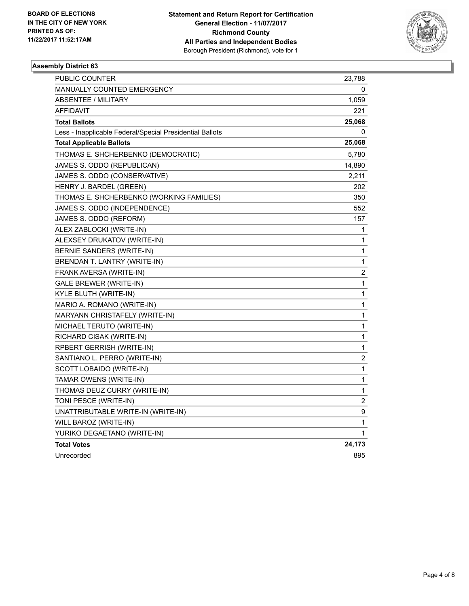

# **Assembly District 63**

| PUBLIC COUNTER                                           | 23,788         |
|----------------------------------------------------------|----------------|
| <b>MANUALLY COUNTED EMERGENCY</b>                        | 0              |
| <b>ABSENTEE / MILITARY</b>                               | 1,059          |
| AFFIDAVIT                                                | 221            |
| <b>Total Ballots</b>                                     | 25,068         |
| Less - Inapplicable Federal/Special Presidential Ballots | 0              |
| <b>Total Applicable Ballots</b>                          | 25,068         |
| THOMAS E. SHCHERBENKO (DEMOCRATIC)                       | 5,780          |
| JAMES S. ODDO (REPUBLICAN)                               | 14,890         |
| JAMES S. ODDO (CONSERVATIVE)                             | 2,211          |
| HENRY J. BARDEL (GREEN)                                  | 202            |
| THOMAS E. SHCHERBENKO (WORKING FAMILIES)                 | 350            |
| JAMES S. ODDO (INDEPENDENCE)                             | 552            |
| JAMES S. ODDO (REFORM)                                   | 157            |
| ALEX ZABLOCKI (WRITE-IN)                                 | 1              |
| ALEXSEY DRUKATOV (WRITE-IN)                              | 1              |
| BERNIE SANDERS (WRITE-IN)                                | 1              |
| BRENDAN T. LANTRY (WRITE-IN)                             | 1              |
| FRANK AVERSA (WRITE-IN)                                  | 2              |
| <b>GALE BREWER (WRITE-IN)</b>                            | 1              |
| KYLE BLUTH (WRITE-IN)                                    | 1              |
| MARIO A. ROMANO (WRITE-IN)                               | 1              |
| MARYANN CHRISTAFELY (WRITE-IN)                           | 1              |
| MICHAEL TERUTO (WRITE-IN)                                | 1              |
| RICHARD CISAK (WRITE-IN)                                 | 1              |
| RPBERT GERRISH (WRITE-IN)                                | 1              |
| SANTIANO L. PERRO (WRITE-IN)                             | $\mathbf 2$    |
| SCOTT LOBAIDO (WRITE-IN)                                 | 1              |
| TAMAR OWENS (WRITE-IN)                                   | 1              |
| THOMAS DEUZ CURRY (WRITE-IN)                             | 1              |
| TONI PESCE (WRITE-IN)                                    | $\overline{c}$ |
| UNATTRIBUTABLE WRITE-IN (WRITE-IN)                       | 9              |
| WILL BAROZ (WRITE-IN)                                    | 1              |
| YURIKO DEGAETANO (WRITE-IN)                              | 1              |
| <b>Total Votes</b>                                       | 24,173         |
| Unrecorded                                               | 895            |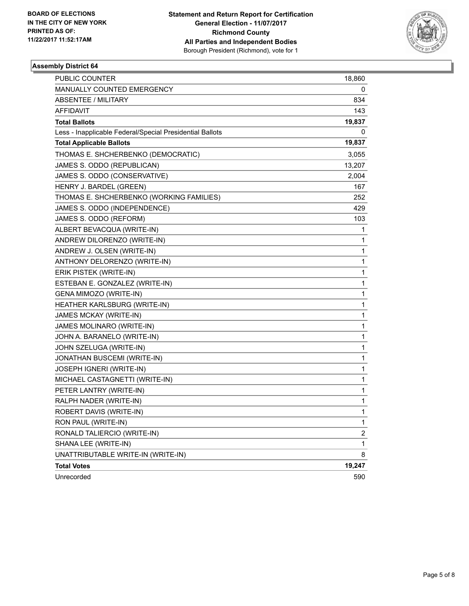

# **Assembly District 64**

| PUBLIC COUNTER                                           | 18,860         |
|----------------------------------------------------------|----------------|
| MANUALLY COUNTED EMERGENCY                               | 0              |
| ABSENTEE / MILITARY                                      | 834            |
| <b>AFFIDAVIT</b>                                         | 143            |
| <b>Total Ballots</b>                                     | 19,837         |
| Less - Inapplicable Federal/Special Presidential Ballots | 0              |
| <b>Total Applicable Ballots</b>                          | 19,837         |
| THOMAS E. SHCHERBENKO (DEMOCRATIC)                       | 3,055          |
| JAMES S. ODDO (REPUBLICAN)                               | 13,207         |
| JAMES S. ODDO (CONSERVATIVE)                             | 2,004          |
| HENRY J. BARDEL (GREEN)                                  | 167            |
| THOMAS E. SHCHERBENKO (WORKING FAMILIES)                 | 252            |
| JAMES S. ODDO (INDEPENDENCE)                             | 429            |
| JAMES S. ODDO (REFORM)                                   | 103            |
| ALBERT BEVACQUA (WRITE-IN)                               | 1              |
| ANDREW DILORENZO (WRITE-IN)                              | 1              |
| ANDREW J. OLSEN (WRITE-IN)                               | 1              |
| ANTHONY DELORENZO (WRITE-IN)                             | 1              |
| ERIK PISTEK (WRITE-IN)                                   | 1              |
| ESTEBAN E. GONZALEZ (WRITE-IN)                           | 1              |
| GENA MIMOZO (WRITE-IN)                                   | 1              |
| HEATHER KARLSBURG (WRITE-IN)                             | 1              |
| JAMES MCKAY (WRITE-IN)                                   | 1              |
| JAMES MOLINARO (WRITE-IN)                                | 1              |
| JOHN A. BARANELO (WRITE-IN)                              | 1              |
| JOHN SZELUGA (WRITE-IN)                                  | 1              |
| JONATHAN BUSCEMI (WRITE-IN)                              | 1              |
| JOSEPH IGNERI (WRITE-IN)                                 | 1              |
| MICHAEL CASTAGNETTI (WRITE-IN)                           | 1              |
| PETER LANTRY (WRITE-IN)                                  | 1              |
| RALPH NADER (WRITE-IN)                                   | 1              |
| ROBERT DAVIS (WRITE-IN)                                  | 1              |
| RON PAUL (WRITE-IN)                                      | 1              |
| RONALD TALIERCIO (WRITE-IN)                              | $\overline{c}$ |
| SHANA LEE (WRITE-IN)                                     | 1              |
| UNATTRIBUTABLE WRITE-IN (WRITE-IN)                       | 8              |
| <b>Total Votes</b>                                       | 19,247         |
| Unrecorded                                               | 590            |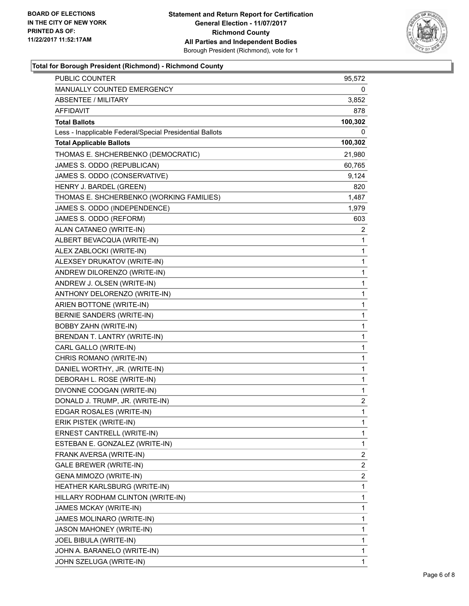

# **Total for Borough President (Richmond) - Richmond County**

| PUBLIC COUNTER                                           | 95,572       |
|----------------------------------------------------------|--------------|
| MANUALLY COUNTED EMERGENCY                               | 0            |
| <b>ABSENTEE / MILITARY</b>                               | 3,852        |
| AFFIDAVIT                                                | 878          |
| <b>Total Ballots</b>                                     | 100,302      |
| Less - Inapplicable Federal/Special Presidential Ballots | 0            |
| <b>Total Applicable Ballots</b>                          | 100,302      |
| THOMAS E. SHCHERBENKO (DEMOCRATIC)                       | 21,980       |
| JAMES S. ODDO (REPUBLICAN)                               | 60,765       |
| JAMES S. ODDO (CONSERVATIVE)                             | 9,124        |
| HENRY J. BARDEL (GREEN)                                  | 820          |
| THOMAS E. SHCHERBENKO (WORKING FAMILIES)                 | 1,487        |
| JAMES S. ODDO (INDEPENDENCE)                             | 1,979        |
| JAMES S. ODDO (REFORM)                                   | 603          |
| ALAN CATANEO (WRITE-IN)                                  | 2            |
| ALBERT BEVACQUA (WRITE-IN)                               | 1            |
| ALEX ZABLOCKI (WRITE-IN)                                 | 1            |
| ALEXSEY DRUKATOV (WRITE-IN)                              | 1            |
| ANDREW DILORENZO (WRITE-IN)                              | 1            |
| ANDREW J. OLSEN (WRITE-IN)                               | 1            |
| ANTHONY DELORENZO (WRITE-IN)                             | 1            |
| ARIEN BOTTONE (WRITE-IN)                                 | 1            |
| BERNIE SANDERS (WRITE-IN)                                | 1            |
| BOBBY ZAHN (WRITE-IN)                                    | 1            |
| BRENDAN T. LANTRY (WRITE-IN)                             | 1            |
| CARL GALLO (WRITE-IN)                                    | 1            |
| CHRIS ROMANO (WRITE-IN)                                  | 1            |
| DANIEL WORTHY, JR. (WRITE-IN)                            | 1            |
| DEBORAH L. ROSE (WRITE-IN)                               | 1            |
| DIVONNE COOGAN (WRITE-IN)                                | 1            |
| DONALD J. TRUMP, JR. (WRITE-IN)                          | 2            |
| EDGAR ROSALES (WRITE-IN)                                 | $\mathbf{1}$ |
| ERIK PISTEK (WRITE-IN)                                   | 1            |
| ERNEST CANTRELL (WRITE-IN)                               | 1            |
| ESTEBAN E. GONZALEZ (WRITE-IN)                           | 1            |
| FRANK AVERSA (WRITE-IN)                                  | 2            |
| GALE BREWER (WRITE-IN)                                   | 2            |
| GENA MIMOZO (WRITE-IN)                                   | 2            |
| HEATHER KARLSBURG (WRITE-IN)                             | 1            |
| HILLARY RODHAM CLINTON (WRITE-IN)                        | 1            |
| JAMES MCKAY (WRITE-IN)                                   | 1            |
| JAMES MOLINARO (WRITE-IN)                                | 1            |
| JASON MAHONEY (WRITE-IN)                                 | 1            |
| JOEL BIBULA (WRITE-IN)                                   | 1            |
| JOHN A. BARANELO (WRITE-IN)                              | 1            |
| JOHN SZELUGA (WRITE-IN)                                  | 1            |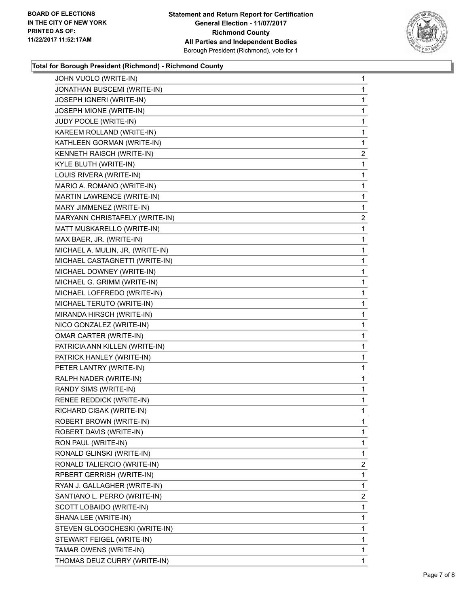

# **Total for Borough President (Richmond) - Richmond County**

| JOHN VUOLO (WRITE-IN)            | 1              |
|----------------------------------|----------------|
| JONATHAN BUSCEMI (WRITE-IN)      | 1              |
| JOSEPH IGNERI (WRITE-IN)         | 1              |
| JOSEPH MIONE (WRITE-IN)          | 1              |
| JUDY POOLE (WRITE-IN)            | 1              |
| KAREEM ROLLAND (WRITE-IN)        | 1              |
| KATHLEEN GORMAN (WRITE-IN)       | 1              |
| KENNETH RAISCH (WRITE-IN)        | 2              |
| KYLE BLUTH (WRITE-IN)            | 1              |
| LOUIS RIVERA (WRITE-IN)          | 1              |
| MARIO A. ROMANO (WRITE-IN)       | 1              |
| MARTIN LAWRENCE (WRITE-IN)       | 1              |
| MARY JIMMENEZ (WRITE-IN)         | 1              |
| MARYANN CHRISTAFELY (WRITE-IN)   | 2              |
| MATT MUSKARELLO (WRITE-IN)       | 1              |
| MAX BAER, JR. (WRITE-IN)         | 1              |
| MICHAEL A. MULIN, JR. (WRITE-IN) | 1              |
| MICHAEL CASTAGNETTI (WRITE-IN)   | 1              |
| MICHAEL DOWNEY (WRITE-IN)        | 1              |
| MICHAEL G. GRIMM (WRITE-IN)      | 1              |
| MICHAEL LOFFREDO (WRITE-IN)      | 1              |
| MICHAEL TERUTO (WRITE-IN)        | 1              |
| MIRANDA HIRSCH (WRITE-IN)        | 1              |
| NICO GONZALEZ (WRITE-IN)         | 1              |
| OMAR CARTER (WRITE-IN)           | 1              |
| PATRICIA ANN KILLEN (WRITE-IN)   | 1              |
| PATRICK HANLEY (WRITE-IN)        | 1              |
| PETER LANTRY (WRITE-IN)          | 1              |
| RALPH NADER (WRITE-IN)           | 1              |
| RANDY SIMS (WRITE-IN)            | 1              |
| RENEE REDDICK (WRITE-IN)         | 1              |
| RICHARD CISAK (WRITE-IN)         | 1              |
| ROBERT BROWN (WRITE-IN)          | 1              |
| ROBERT DAVIS (WRITE-IN)          | 1              |
| RON PAUL (WRITE-IN)              | 1              |
| RONALD GLINSKI (WRITE-IN)        | 1              |
| RONALD TALIERCIO (WRITE-IN)      | 2              |
| RPBERT GERRISH (WRITE-IN)        | 1              |
| RYAN J. GALLAGHER (WRITE-IN)     | 1              |
| SANTIANO L. PERRO (WRITE-IN)     | $\overline{2}$ |
| SCOTT LOBAIDO (WRITE-IN)         | 1              |
| SHANA LEE (WRITE-IN)             | 1              |
| STEVEN GLOGOCHESKI (WRITE-IN)    | 1              |
| STEWART FEIGEL (WRITE-IN)        | 1              |
| TAMAR OWENS (WRITE-IN)           | 1              |
|                                  | 1              |
| THOMAS DEUZ CURRY (WRITE-IN)     |                |